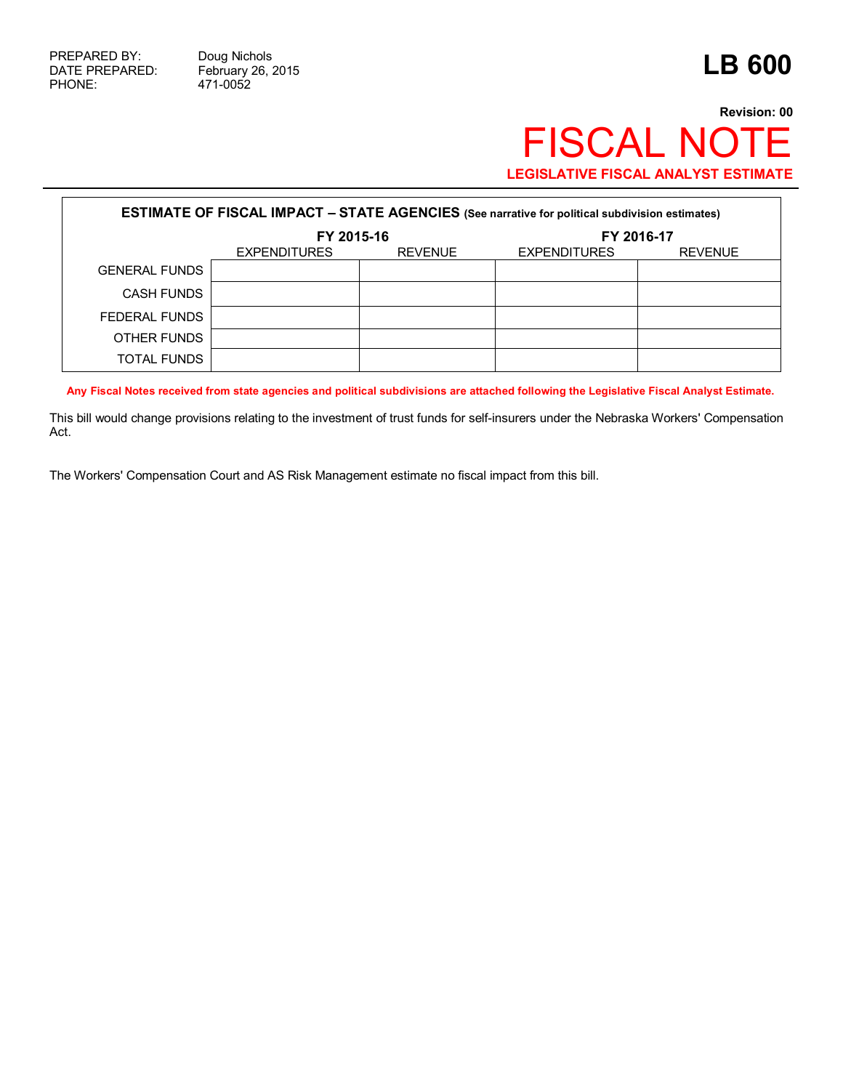## **Revision: 00** FISCAL NOTE **LEGISLATIVE FISCAL ANALYST ESTIMATE**

| <b>ESTIMATE OF FISCAL IMPACT - STATE AGENCIES (See narrative for political subdivision estimates)</b> |                     |                |                     |                |  |
|-------------------------------------------------------------------------------------------------------|---------------------|----------------|---------------------|----------------|--|
|                                                                                                       | FY 2015-16          |                | FY 2016-17          |                |  |
|                                                                                                       | <b>EXPENDITURES</b> | <b>REVENUE</b> | <b>EXPENDITURES</b> | <b>REVENUE</b> |  |
| <b>GENERAL FUNDS</b>                                                                                  |                     |                |                     |                |  |
| <b>CASH FUNDS</b>                                                                                     |                     |                |                     |                |  |
| FEDERAL FUNDS                                                                                         |                     |                |                     |                |  |
| OTHER FUNDS                                                                                           |                     |                |                     |                |  |
| <b>TOTAL FUNDS</b>                                                                                    |                     |                |                     |                |  |

**Any Fiscal Notes received from state agencies and political subdivisions are attached following the Legislative Fiscal Analyst Estimate.**

This bill would change provisions relating to the investment of trust funds for self-insurers under the Nebraska Workers' Compensation Act.

The Workers' Compensation Court and AS Risk Management estimate no fiscal impact from this bill.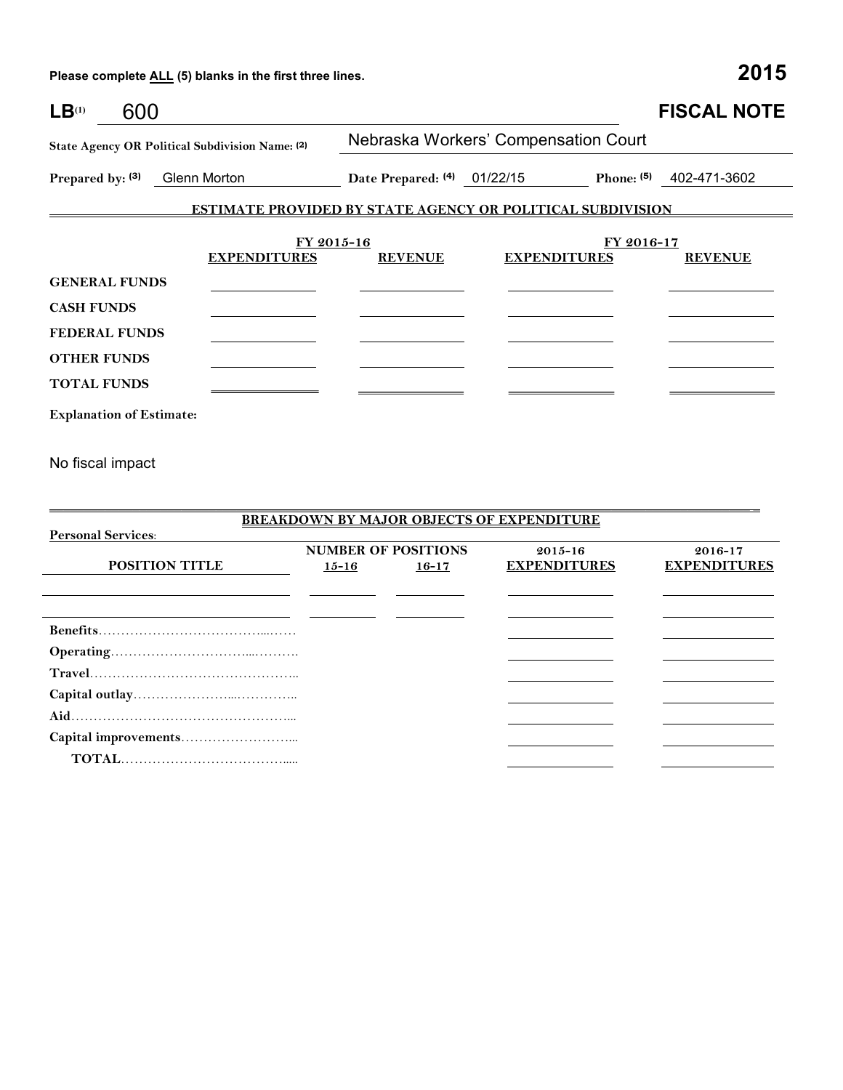Please complete **ALL** (5) blanks in the first three lines.

**Capital outlay**…………………...………….. **Aid**…………………………………………... **Capital improvements**……………………...  **TOTAL**……………………………….....

| $LB^{(1)}$<br>600                                                             |                     |                                      |                                                                   | <b>FISCAL NOTE</b>           |  |  |
|-------------------------------------------------------------------------------|---------------------|--------------------------------------|-------------------------------------------------------------------|------------------------------|--|--|
| State Agency OR Political Subdivision Name: (2)                               |                     | Nebraska Workers' Compensation Court |                                                                   |                              |  |  |
| Prepared by: (3)<br>Glenn Morton                                              |                     | Date Prepared: (4) 01/22/15          |                                                                   | Phone: $(5)$<br>402-471-3602 |  |  |
|                                                                               |                     |                                      | <b>ESTIMATE PROVIDED BY STATE AGENCY OR POLITICAL SUBDIVISION</b> |                              |  |  |
|                                                                               |                     | FY 2015-16                           |                                                                   | FY 2016-17                   |  |  |
|                                                                               | <b>EXPENDITURES</b> | <b>REVENUE</b>                       | <b>EXPENDITURES</b>                                               | <b>REVENUE</b>               |  |  |
| <b>GENERAL FUNDS</b>                                                          |                     |                                      |                                                                   |                              |  |  |
| <b>CASH FUNDS</b>                                                             |                     |                                      |                                                                   |                              |  |  |
| <b>FEDERAL FUNDS</b>                                                          |                     |                                      |                                                                   |                              |  |  |
| <b>OTHER FUNDS</b>                                                            |                     |                                      |                                                                   |                              |  |  |
| <b>TOTAL FUNDS</b>                                                            |                     |                                      |                                                                   |                              |  |  |
| <b>Explanation of Estimate:</b>                                               |                     |                                      |                                                                   |                              |  |  |
| No fiscal impact                                                              |                     |                                      |                                                                   |                              |  |  |
|                                                                               |                     |                                      |                                                                   |                              |  |  |
| <b>BREAKDOWN BY MAJOR OBJECTS OF EXPENDITURE</b>                              |                     |                                      |                                                                   |                              |  |  |
| <b>Personal Services:</b><br><b>NUMBER OF POSITIONS</b><br>2015-16<br>2016-17 |                     |                                      |                                                                   |                              |  |  |
| POSITION TITLE                                                                |                     | $15 - 16$<br>$16 - 17$               | <b>EXPENDITURES</b>                                               | <b>EXPENDITURES</b>          |  |  |
|                                                                               |                     |                                      |                                                                   |                              |  |  |
|                                                                               |                     |                                      |                                                                   |                              |  |  |
|                                                                               |                     |                                      |                                                                   |                              |  |  |
|                                                                               |                     |                                      |                                                                   |                              |  |  |
|                                                                               |                     |                                      |                                                                   |                              |  |  |

  $\begin{array}{c} \begin{array}{c} \begin{array}{c} \begin{array}{c} \end{array} \\ \end{array} \end{array} \end{array} \end{array} \end{array} \end{array} \begin{array}{c} \begin{array}{c} \begin{array}{c} \end{array} \\ \end{array} \end{array} \begin{array}{c} \begin{array}{c} \end{array} \end{array} \end{array} \begin{array}{c} \begin{array}{c} \end{array} \end{array} \end{array} \begin{array}{c} \begin{array}{c} \end{array} \end{array} \end{array} \begin{array}{c} \begin{array}{c} \end{array} \end{array} \begin{array}{c} \$ 

| v. | ۰. | ×<br>٠ |
|----|----|--------|
|    |    |        |